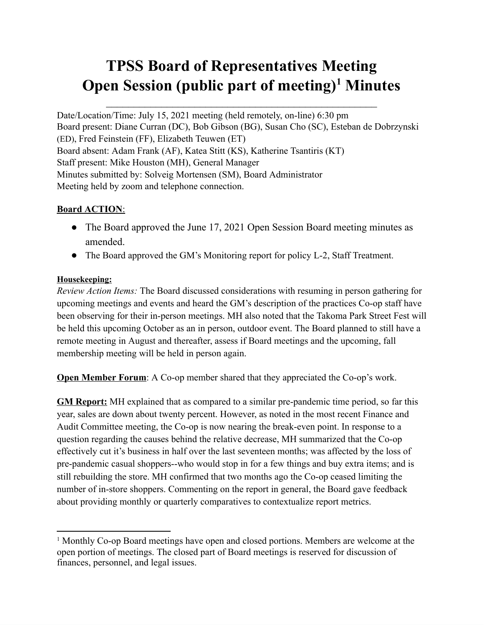# **TPSS Board of Representatives Meeting Open Session (public part of meeting) <sup>1</sup> Minutes**

 $\mathcal{L}_\text{max}$  , and the set of the set of the set of the set of the set of the set of the set of the set of the set of

Date/Location/Time: July 15, 2021 meeting (held remotely, on-line) 6:30 pm Board present: Diane Curran (DC), Bob Gibson (BG), Susan Cho (SC), Esteban de Dobrzynski (ED), Fred Feinstein (FF), Elizabeth Teuwen (ET) Board absent: Adam Frank (AF), Katea Stitt (KS), Katherine Tsantiris (KT) Staff present: Mike Houston (MH), General Manager Minutes submitted by: Solveig Mortensen (SM), Board Administrator Meeting held by zoom and telephone connection.

### **Board ACTION**:

- The Board approved the June 17, 2021 Open Session Board meeting minutes as amended.
- The Board approved the GM's Monitoring report for policy L-2, Staff Treatment.

#### **Housekeeping:**

*Review Action Items:* The Board discussed considerations with resuming in person gathering for upcoming meetings and events and heard the GM's description of the practices Co-op staff have been observing for their in-person meetings. MH also noted that the Takoma Park Street Fest will be held this upcoming October as an in person, outdoor event. The Board planned to still have a remote meeting in August and thereafter, assess if Board meetings and the upcoming, fall membership meeting will be held in person again.

**Open Member Forum**: A Co-op member shared that they appreciated the Co-op's work.

**GM Report:** MH explained that as compared to a similar pre-pandemic time period, so far this year, sales are down about twenty percent. However, as noted in the most recent Finance and Audit Committee meeting, the Co-op is now nearing the break-even point. In response to a question regarding the causes behind the relative decrease, MH summarized that the Co-op effectively cut it's business in half over the last seventeen months; was affected by the loss of pre-pandemic casual shoppers--who would stop in for a few things and buy extra items; and is still rebuilding the store. MH confirmed that two months ago the Co-op ceased limiting the number of in-store shoppers. Commenting on the report in general, the Board gave feedback about providing monthly or quarterly comparatives to contextualize report metrics.

<sup>1</sup> Monthly Co-op Board meetings have open and closed portions. Members are welcome at the open portion of meetings. The closed part of Board meetings is reserved for discussion of finances, personnel, and legal issues.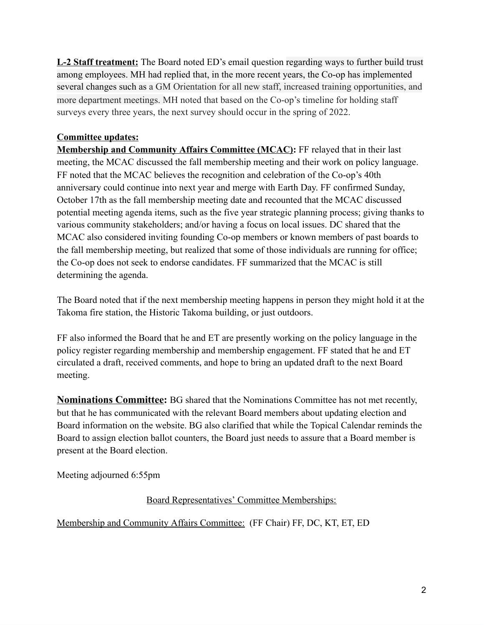**L-2 Staff treatment:** The Board noted ED's email question regarding ways to further build trust among employees. MH had replied that, in the more recent years, the Co-op has implemented several changes such as a GM Orientation for all new staff, increased training opportunities, and more department meetings. MH noted that based on the Co-op's timeline for holding staff surveys every three years, the next survey should occur in the spring of 2022.

#### **Committee updates:**

**Membership and Community Affairs Committee (MCAC):** FF relayed that in their last meeting, the MCAC discussed the fall membership meeting and their work on policy language. FF noted that the MCAC believes the recognition and celebration of the Co-op's 40th anniversary could continue into next year and merge with Earth Day. FF confirmed Sunday, October 17th as the fall membership meeting date and recounted that the MCAC discussed potential meeting agenda items, such as the five year strategic planning process; giving thanks to various community stakeholders; and/or having a focus on local issues. DC shared that the MCAC also considered inviting founding Co-op members or known members of past boards to the fall membership meeting, but realized that some of those individuals are running for office; the Co-op does not seek to endorse candidates. FF summarized that the MCAC is still determining the agenda.

The Board noted that if the next membership meeting happens in person they might hold it at the Takoma fire station, the Historic Takoma building, or just outdoors.

FF also informed the Board that he and ET are presently working on the policy language in the policy register regarding membership and membership engagement. FF stated that he and ET circulated a draft, received comments, and hope to bring an updated draft to the next Board meeting.

**Nominations Committee:** BG shared that the Nominations Committee has not met recently, but that he has communicated with the relevant Board members about updating election and Board information on the website. BG also clarified that while the Topical Calendar reminds the Board to assign election ballot counters, the Board just needs to assure that a Board member is present at the Board election.

Meeting adjourned 6:55pm

## Board Representatives' Committee Memberships:

Membership and Community Affairs Committee: (FF Chair) FF, DC, KT, ET, ED